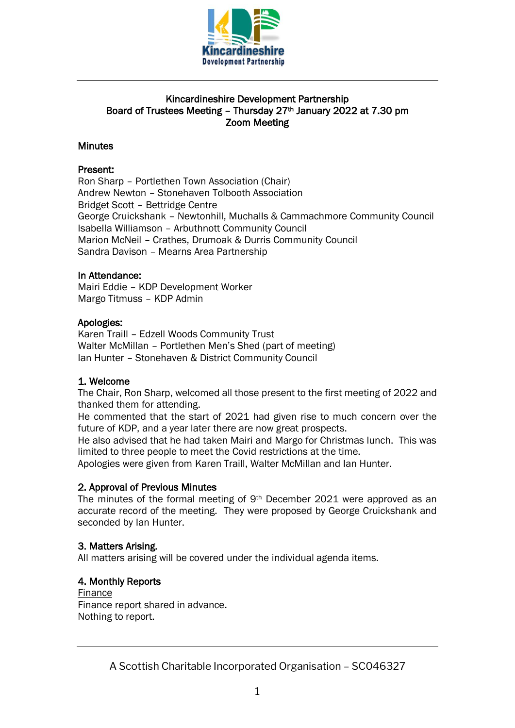

# Kincardineshire Development Partnership Board of Trustees Meeting - Thursday 27<sup>th</sup> January 2022 at 7.30 pm Zoom Meeting

# **Minutes**

## Present:

Ron Sharp – Portlethen Town Association (Chair) Andrew Newton – Stonehaven Tolbooth Association Bridget Scott – Bettridge Centre George Cruickshank – Newtonhill, Muchalls & Cammachmore Community Council Isabella Williamson – Arbuthnott Community Council Marion McNeil – Crathes, Drumoak & Durris Community Council Sandra Davison – Mearns Area Partnership

### In Attendance:

Mairi Eddie – KDP Development Worker Margo Titmuss – KDP Admin

### Apologies:

Karen Traill – Edzell Woods Community Trust Walter McMillan – Portlethen Men's Shed (part of meeting) Ian Hunter – Stonehaven & District Community Council

# 1. Welcome

The Chair, Ron Sharp, welcomed all those present to the first meeting of 2022 and thanked them for attending.

He commented that the start of 2021 had given rise to much concern over the future of KDP, and a year later there are now great prospects.

He also advised that he had taken Mairi and Margo for Christmas lunch. This was limited to three people to meet the Covid restrictions at the time.

Apologies were given from Karen Traill, Walter McMillan and Ian Hunter.

### 2. Approval of Previous Minutes

The minutes of the formal meeting of 9th December 2021 were approved as an accurate record of the meeting. They were proposed by George Cruickshank and seconded by Ian Hunter.

### 3. Matters Arising.

All matters arising will be covered under the individual agenda items.

# 4. Monthly Reports

Finance Finance report shared in advance. Nothing to report.

A Scottish Charitable Incorporated Organisation – SC046327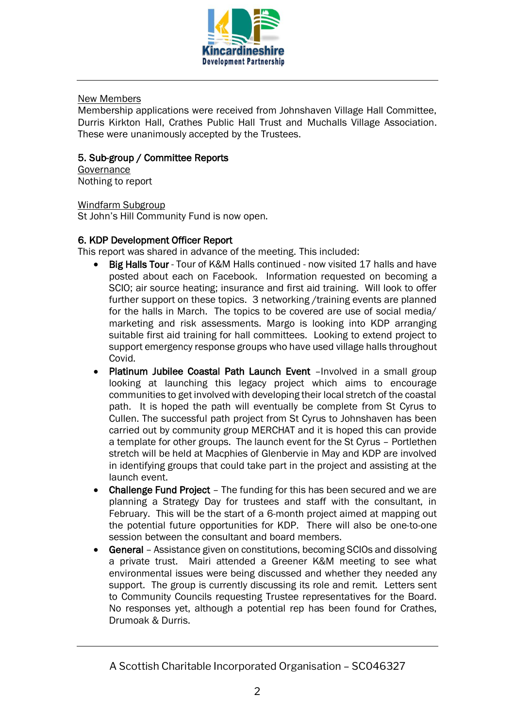

## New Members

Membership applications were received from Johnshaven Village Hall Committee, Durris Kirkton Hall, Crathes Public Hall Trust and Muchalls Village Association. These were unanimously accepted by the Trustees.

## 5. Sub-group / Committee Reports

**Governance** Nothing to report

#### Windfarm Subgroup

St John's Hill Community Fund is now open.

### 6. KDP Development Officer Report

This report was shared in advance of the meeting. This included:

- Big Halls Tour Tour of K&M Halls continued now visited 17 halls and have posted about each on Facebook. Information requested on becoming a SCIO; air source heating; insurance and first aid training. Will look to offer further support on these topics. 3 networking /training events are planned for the halls in March. The topics to be covered are use of social media/ marketing and risk assessments. Margo is looking into KDP arranging suitable first aid training for hall committees. Looking to extend project to support emergency response groups who have used village halls throughout Covid.
- Platinum Jubilee Coastal Path Launch Event -Involved in a small group looking at launching this legacy project which aims to encourage communities to get involved with developing their local stretch of the coastal path. It is hoped the path will eventually be complete from St Cyrus to Cullen. The successful path project from St Cyrus to Johnshaven has been carried out by community group MERCHAT and it is hoped this can provide a template for other groups. The launch event for the St Cyrus – Portlethen stretch will be held at Macphies of Glenbervie in May and KDP are involved in identifying groups that could take part in the project and assisting at the launch event.
- Challenge Fund Project The funding for this has been secured and we are planning a Strategy Day for trustees and staff with the consultant, in February. This will be the start of a 6-month project aimed at mapping out the potential future opportunities for KDP. There will also be one-to-one session between the consultant and board members.
- General Assistance given on constitutions, becoming SCIOs and dissolving a private trust. Mairi attended a Greener K&M meeting to see what environmental issues were being discussed and whether they needed any support. The group is currently discussing its role and remit. Letters sent to Community Councils requesting Trustee representatives for the Board. No responses yet, although a potential rep has been found for Crathes, Drumoak & Durris.

A Scottish Charitable Incorporated Organisation – SC046327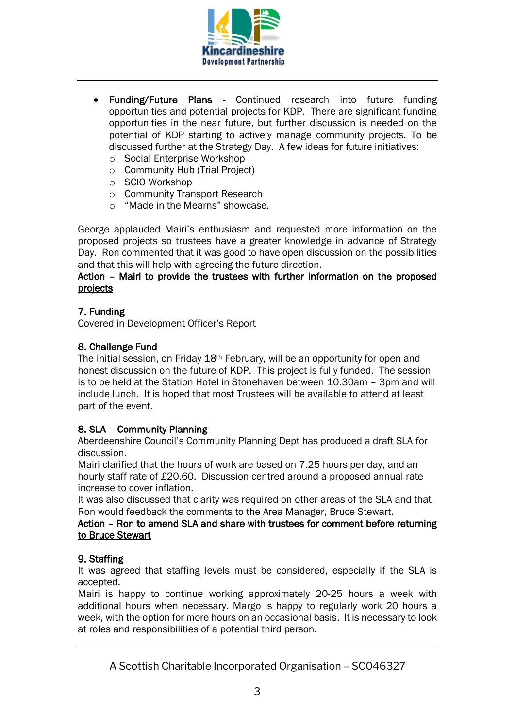

- Funding/Future Plans Continued research into future funding opportunities and potential projects for KDP. There are significant funding opportunities in the near future, but further discussion is needed on the potential of KDP starting to actively manage community projects. To be discussed further at the Strategy Day. A few ideas for future initiatives:
	- o Social Enterprise Workshop
	- o Community Hub (Trial Project)
	- o SCIO Workshop
	- o Community Transport Research
	- o "Made in the Mearns" showcase.

George applauded Mairi's enthusiasm and requested more information on the proposed projects so trustees have a greater knowledge in advance of Strategy Day. Ron commented that it was good to have open discussion on the possibilities and that this will help with agreeing the future direction.

## Action – Mairi to provide the trustees with further information on the proposed projects

# 7. Funding

Covered in Development Officer's Report

## 8. Challenge Fund

The initial session, on Friday 18th February, will be an opportunity for open and honest discussion on the future of KDP. This project is fully funded. The session is to be held at the Station Hotel in Stonehaven between 10.30am – 3pm and will include lunch. It is hoped that most Trustees will be available to attend at least part of the event.

# 8. SLA – Community Planning

Aberdeenshire Council's Community Planning Dept has produced a draft SLA for discussion.

Mairi clarified that the hours of work are based on 7.25 hours per day, and an hourly staff rate of £20.60. Discussion centred around a proposed annual rate increase to cover inflation.

It was also discussed that clarity was required on other areas of the SLA and that Ron would feedback the comments to the Area Manager, Bruce Stewart.

## Action – Ron to amend SLA and share with trustees for comment before returning to Bruce Stewart

### 9. Staffing

It was agreed that staffing levels must be considered, especially if the SLA is accepted.

Mairi is happy to continue working approximately 20-25 hours a week with additional hours when necessary. Margo is happy to regularly work 20 hours a week, with the option for more hours on an occasional basis. It is necessary to look at roles and responsibilities of a potential third person.